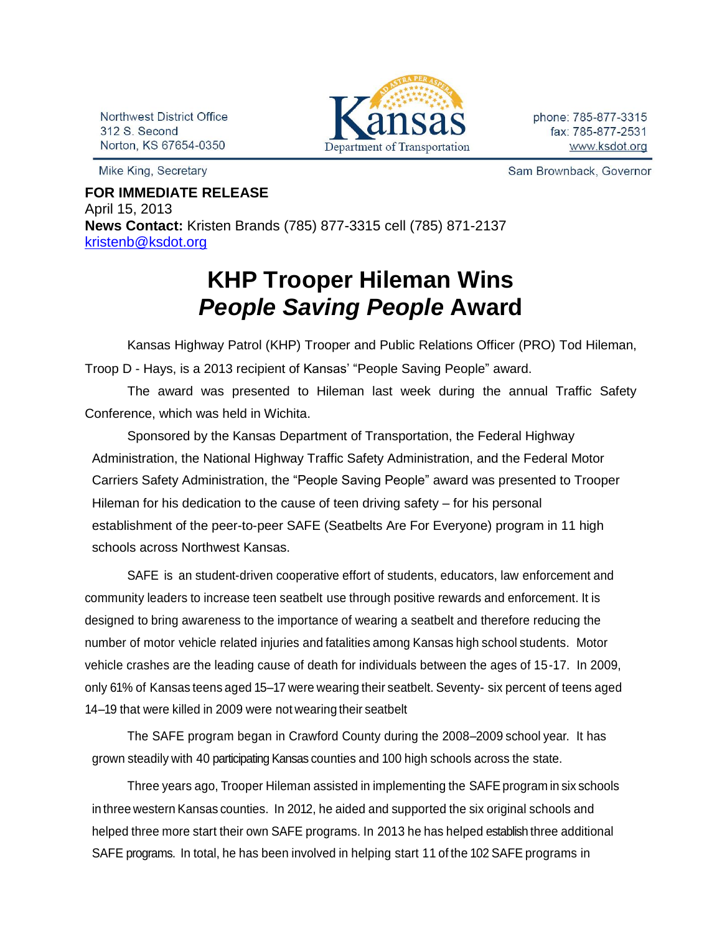Northwest District Office 312 S. Second Norton, KS 67654-0350

Mike King, Secretary



Sam Brownback, Governor

**FOR IMMEDIATE RELEASE** April 15, 2013 **News Contact:** Kristen Brands (785) 877-3315 cell (785) 871-2137 [kristenb@ksdot.org](mailto:kristenb@ksdot.org)

## **KHP Trooper Hileman Wins** *People Saving People* **Award**

 Kansas Highway Patrol (KHP) Trooper and Public Relations Officer (PRO) Tod Hileman, Troop D - Hays, is a 2013 recipient of Kansas' "People Saving People" award.

The award was presented to Hileman last week during the annual Traffic Safety Conference, which was held in Wichita.

Sponsored by the Kansas Department of Transportation, the Federal Highway Administration, the National Highway Traffic Safety Administration, and the Federal Motor Carriers Safety Administration, the "People Saving People" award was presented to Trooper Hileman for his dedication to the cause of teen driving safety – for his personal establishment of the peer-to-peer SAFE (Seatbelts Are For Everyone) program in 11 high schools across Northwest Kansas.

SAFE is an student-driven cooperative effort of students, educators, law enforcement and community leaders to increase teen seatbelt use through positive rewards and enforcement. It is designed to bring awareness to the importance of wearing a seatbelt and therefore reducing the number of motor vehicle related injuries and fatalities among Kansas high school students. Motor vehicle crashes are the leading cause of death for individuals between the ages of 15-17. In 2009, only 61% of Kansas teens aged 15–17 were wearing their seatbelt. Seventy- six percent of teens aged 14–19 that were killed in 2009 were not wearing their seatbelt

The SAFE program began in Crawford County during the 2008–2009 school year. It has grown steadily with 40 participating Kansas counties and 100 high schools across the state.

Three years ago, Trooper Hileman assisted in implementing the SAFE program in six schools in three western Kansas counties. In 2012, he aided and supported the six original schools and helped three more start their own SAFE programs. In 2013 he has helped establish three additional SAFE programs. In total, he has been involved in helping start 11 of the 102 SAFE programs in